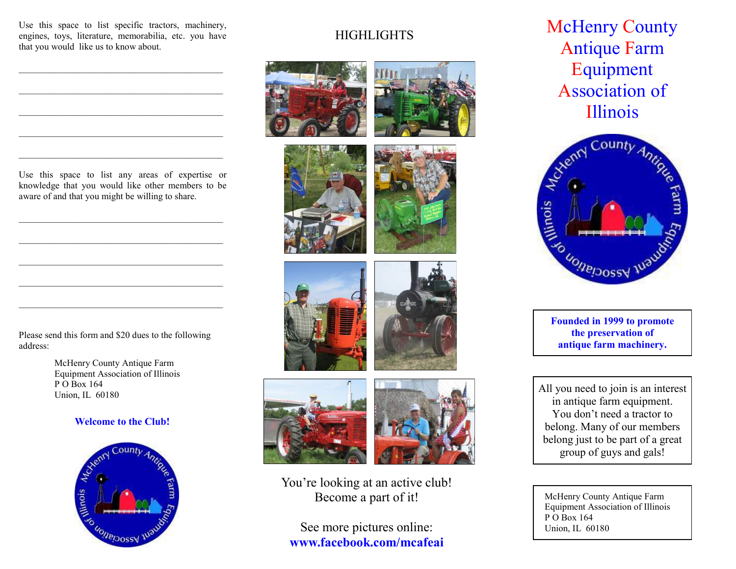Use this space to list specific tractors, machinery, engines, toys, literature, memorabilia, etc. you have that you would like us to know about.

 $\mathcal{L}_\text{max}$  and  $\mathcal{L}_\text{max}$  and  $\mathcal{L}_\text{max}$  and  $\mathcal{L}_\text{max}$  and  $\mathcal{L}_\text{max}$ 

 $\mathcal{L}_\text{max}$  and the contract of the contract of the contract of the contract of the contract of the contract of the contract of the contract of the contract of the contract of the contract of the contract of the contrac

 $\mathcal{L}_\text{max}$  and  $\mathcal{L}_\text{max}$  and  $\mathcal{L}_\text{max}$  and  $\mathcal{L}_\text{max}$  and  $\mathcal{L}_\text{max}$ 

Use this space to list any areas of expertise or knowledge that you would like other members to be aware of and that you might be willing to share.

 $\mathcal{L}_\text{max}$  and  $\mathcal{L}_\text{max}$  and  $\mathcal{L}_\text{max}$  and  $\mathcal{L}_\text{max}$  and  $\mathcal{L}_\text{max}$ 

 $\mathcal{L}_\text{max}$  and  $\mathcal{L}_\text{max}$  and  $\mathcal{L}_\text{max}$  and  $\mathcal{L}_\text{max}$  and  $\mathcal{L}_\text{max}$ 

 $\mathcal{L}_\text{max}$  and  $\mathcal{L}_\text{max}$  and  $\mathcal{L}_\text{max}$  and  $\mathcal{L}_\text{max}$  and  $\mathcal{L}_\text{max}$ 

Please send this form and \$20 dues to the following address:

> McHenry County Antique Farm Equipment Association of Illinois P O Box 164 Union, IL 60180

#### **Welcome to the Club!**



## **HIGHLIGHTS**



You're looking at an active club! Become a part of it!

See more pictures online: **www.facebook.com/mcafeai** **McHenry County** Antique Farm Equipment Association of Illinois



**Founded in 1999 to promote the preservation of antique farm machinery.**

All you need to join is an interest in antique farm equipment. You don't need a tractor to belong. Many of our members belong just to be part of a great group of guys and gals!

McHenry County Antique Farm Equipment Association of Illinois P O Box 164 Union, IL 60180